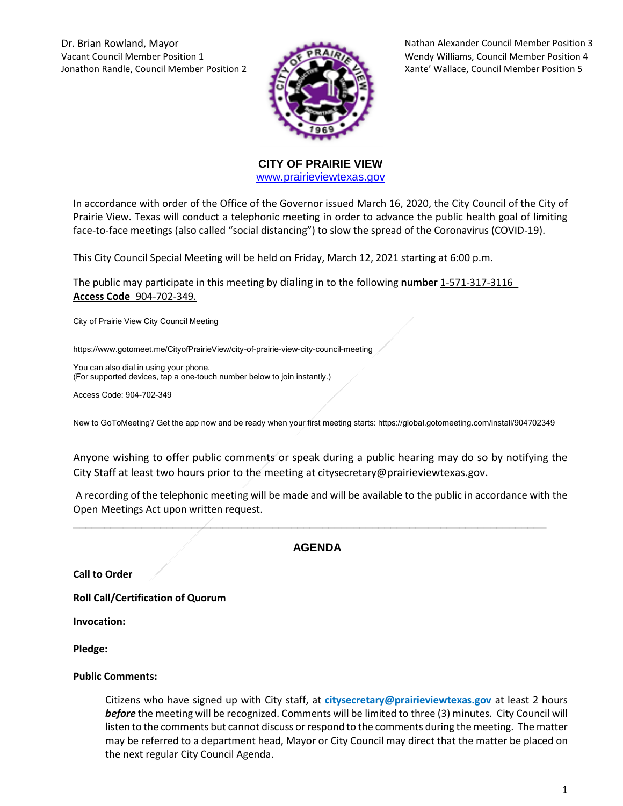Dr. Brian Rowland, Mayor Nathan Alexander Council Member Position 3 Vacant Council Member Position 1 Wendy Williams, Council Member Position 4 Jonathon Randle, Council Member Position 2 Xante' Wallace, Council Member Position 5



**CITY OF PRAIRIE VIEW**  [www.prairieviewtexas.gov](http://www.prairieviewtexas.gov/)

In accordance with order of the Office of the Governor issued March 16, 2020, the City Council of the City of Prairie View. Texas will conduct a telephonic meeting in order to advance the public health goal of limiting face-to-face meetings (also called "social distancing") to slow the spread of the Coronavirus (COVID-19).

This City Council Special Meeting will be held on Friday, March 12, 2021 starting at 6:00 p.m.

The public may participate in this meeting by dialing in to the following **number** 1-571-317-3116\_ **Access Code**\_904-702-349.

City of Prairie View City Council Meeting

https://www.gotomeet.me/CityofPrairieView/city-of-prairie-view-city-council-meeting

You can also dial in using your phone. (For supported devices, tap a one-touch number below to join instantly.)

Access Code: 904-702-349

New to GoToMeeting? Get the app now and be ready when your first meeting starts: https://global.gotomeeting.com/install/904702349

Anyone wishing to offer public comments or speak during a public hearing may do so by notifying the City Staff at least two hours prior to the meeting at citysecretary@prairieviewtexas.gov.

A recording of the telephonic meeting will be made and will be available to the public in accordance with the Open Meetings Act upon written request.

## **AGENDA**

\_\_\_\_\_\_\_\_\_\_\_\_\_\_\_\_\_\_\_\_\_\_\_\_\_\_\_\_\_\_\_\_\_\_\_\_\_\_\_\_\_\_\_\_\_\_\_\_\_\_\_\_\_\_\_\_\_\_\_\_\_\_\_\_\_\_\_\_\_\_\_\_\_\_\_\_

**Call to Order**

**Roll Call/Certification of Quorum**

**Invocation:** 

**Pledge:** 

## **Public Comments:**

Citizens who have signed up with City staff, at **citysecretary@prairieviewtexas.gov** at least 2 hours *before* the meeting will be recognized. Comments will be limited to three (3) minutes. City Council will listen to the comments but cannot discuss or respond to the comments during the meeting. The matter may be referred to a department head, Mayor or City Council may direct that the matter be placed on the next regular City Council Agenda.